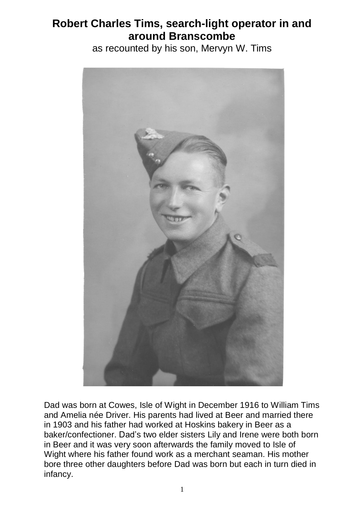## **Robert Charles Tims, search-light operator in and around Branscombe**

as recounted by his son, Mervyn W. Tims



Dad was born at Cowes, Isle of Wight in December 1916 to William Tims and Amelia née Driver. His parents had lived at Beer and married there in 1903 and his father had worked at Hoskins bakery in Beer as a baker/confectioner. Dad's two elder sisters Lily and Irene were both born in Beer and it was very soon afterwards the family moved to Isle of Wight where his father found work as a merchant seaman. His mother bore three other daughters before Dad was born but each in turn died in infancy.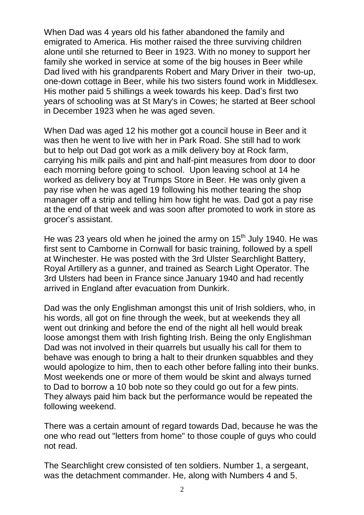When Dad was 4 years old his father abandoned the family and emigrated to America. His mother raised the three surviving children alone until she returned to Beer in 1923. With no money to support her family she worked in service at some of the big houses in Beer while Dad lived with his grandparents Robert and Mary Driver in their two-up, one-down cottage in Beer, while his two sisters found work in Middlesex. His mother paid 5 shillings a week towards his keep. Dad's first two years of schooling was at St Mary's in Cowes; he started at Beer school in December 1923 when he was aged seven.

When Dad was aged 12 his mother got a council house in Beer and it was then he went to live with her in Park Road. She still had to work but to help out Dad got work as a milk delivery boy at Rock farm, carrying his milk pails and pint and half-pint measures from door to door each morning before going to school. Upon leaving school at 14 he worked as delivery boy at Trumps Store in Beer. He was only given a pay rise when he was aged 19 following his mother tearing the shop manager off a strip and telling him how tight he was. Dad got a pay rise at the end of that week and was soon after promoted to work in store as grocer's assistant.

He was 23 years old when he joined the army on  $15<sup>th</sup>$  July 1940. He was first sent to Camborne in Cornwall for basic training, followed by a spell at Winchester. He was posted with the 3rd Ulster Searchlight Battery, Royal Artillery as a gunner, and trained as Search Light Operator. The 3rd Ulsters had been in France since January 1940 and had recently arrived in England after evacuation from Dunkirk.

Dad was the only Englishman amongst this unit of Irish soldiers, who, in his words, all got on fine through the week, but at weekends they all went out drinking and before the end of the night all hell would break loose amongst them with Irish fighting Irish. Being the only Englishman Dad was not involved in their quarrels but usually his call for them to behave was enough to bring a halt to their drunken squabbles and they would apologize to him, then to each other before falling into their bunks. Most weekends one or more of them would be skint and always turned to Dad to borrow a 10 bob note so they could go out for a few pints. They always paid him back but the performance would be repeated the following weekend.

There was a certain amount of regard towards Dad, because he was the one who read out "letters from home" to those couple of guys who could not read.

The Searchlight crew consisted of ten soldiers. Number 1, a sergeant, was the detachment commander. He, along with Numbers 4 and 5,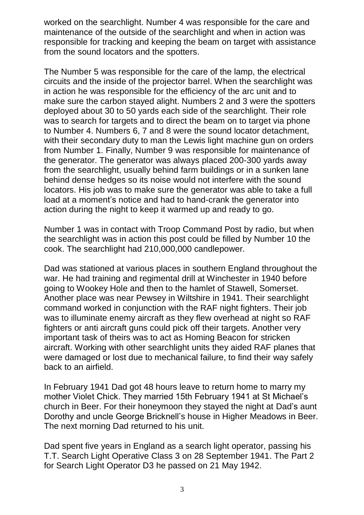worked on the searchlight. Number 4 was responsible for the care and maintenance of the outside of the searchlight and when in action was responsible for tracking and keeping the beam on target with assistance from the sound locators and the spotters.

The Number 5 was responsible for the care of the lamp, the electrical circuits and the inside of the projector barrel. When the searchlight was in action he was responsible for the efficiency of the arc unit and to make sure the carbon stayed alight. Numbers 2 and 3 were the spotters deployed about 30 to 50 yards each side of the searchlight. Their role was to search for targets and to direct the beam on to target via phone to Number 4. Numbers 6, 7 and 8 were the sound locator detachment, with their secondary duty to man the Lewis light machine gun on orders from Number 1. Finally, Number 9 was responsible for maintenance of the generator. The generator was always placed 200-300 yards away from the searchlight, usually behind farm buildings or in a sunken lane behind dense hedges so its noise would not interfere with the sound locators. His job was to make sure the generator was able to take a full load at a moment's notice and had to hand-crank the generator into action during the night to keep it warmed up and ready to go.

Number 1 was in contact with Troop Command Post by radio, but when the searchlight was in action this post could be filled by Number 10 the cook. The searchlight had 210,000,000 candlepower.

Dad was stationed at various places in southern England throughout the war. He had training and regimental drill at Winchester in 1940 before going to Wookey Hole and then to the hamlet of Stawell, Somerset. Another place was near Pewsey in Wiltshire in 1941. Their searchlight command worked in conjunction with the RAF night fighters. Their job was to illuminate enemy aircraft as they flew overhead at night so RAF fighters or anti aircraft guns could pick off their targets. Another very important task of theirs was to act as Homing Beacon for stricken aircraft. Working with other searchlight units they aided RAF planes that were damaged or lost due to mechanical failure, to find their way safely back to an airfield.

In February 1941 Dad got 48 hours leave to return home to marry my mother Violet Chick. They married 15th February 1941 at St Michael's church in Beer. For their honeymoon they stayed the night at Dad's aunt Dorothy and uncle George Bricknell's house in Higher Meadows in Beer. The next morning Dad returned to his unit.

Dad spent five years in England as a search light operator, passing his T.T. Search Light Operative Class 3 on 28 September 1941. The Part 2 for Search Light Operator D3 he passed on 21 May 1942.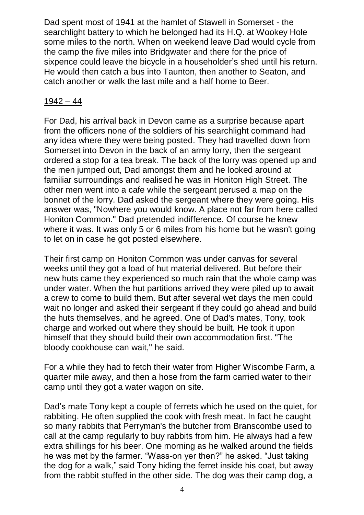Dad spent most of 1941 at the hamlet of Stawell in Somerset - the searchlight battery to which he belonged had its H.Q. at Wookey Hole some miles to the north. When on weekend leave Dad would cycle from the camp the five miles into Bridgwater and there for the price of sixpence could leave the bicycle in a householder's shed until his return. He would then catch a bus into Taunton, then another to Seaton, and catch another or walk the last mile and a half home to Beer.

## 1942 – 44

For Dad, his arrival back in Devon came as a surprise because apart from the officers none of the soldiers of his searchlight command had any idea where they were being posted. They had travelled down from Somerset into Devon in the back of an army lorry, then the sergeant ordered a stop for a tea break. The back of the lorry was opened up and the men jumped out, Dad amongst them and he looked around at familiar surroundings and realised he was in Honiton High Street. The other men went into a cafe while the sergeant perused a map on the bonnet of the lorry. Dad asked the sergeant where they were going. His answer was, "Nowhere you would know. A place not far from here called Honiton Common." Dad pretended indifference. Of course he knew where it was. It was only 5 or 6 miles from his home but he wasn't going to let on in case he got posted elsewhere.

Their first camp on Honiton Common was under canvas for several weeks until they got a load of hut material delivered. But before their new huts came they experienced so much rain that the whole camp was under water. When the hut partitions arrived they were piled up to await a crew to come to build them. But after several wet days the men could wait no longer and asked their sergeant if they could go ahead and build the huts themselves, and he agreed. One of Dad's mates, Tony, took charge and worked out where they should be built. He took it upon himself that they should build their own accommodation first. "The bloody cookhouse can wait," he said.

For a while they had to fetch their water from Higher Wiscombe Farm, a quarter mile away, and then a hose from the farm carried water to their camp until they got a water wagon on site.

Dad's mate Tony kept a couple of ferrets which he used on the quiet, for rabbiting. He often supplied the cook with fresh meat. In fact he caught so many rabbits that Perryman's the butcher from Branscombe used to call at the camp regularly to buy rabbits from him. He always had a few extra shillings for his beer. One morning as he walked around the fields he was met by the farmer. "Wass-on yer then?" he asked. "Just taking the dog for a walk," said Tony hiding the ferret inside his coat, but away from the rabbit stuffed in the other side. The dog was their camp dog, a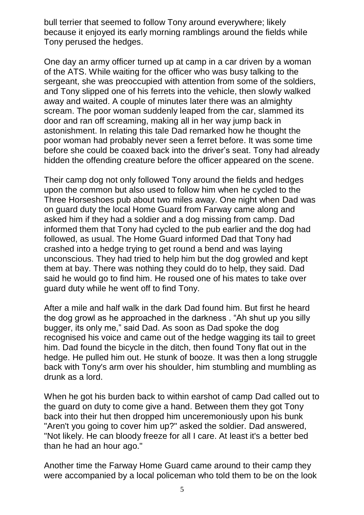bull terrier that seemed to follow Tony around everywhere; likely because it enjoyed its early morning ramblings around the fields while Tony perused the hedges.

One day an army officer turned up at camp in a car driven by a woman of the ATS. While waiting for the officer who was busy talking to the sergeant, she was preoccupied with attention from some of the soldiers, and Tony slipped one of his ferrets into the vehicle, then slowly walked away and waited. A couple of minutes later there was an almighty scream. The poor woman suddenly leaped from the car, slammed its door and ran off screaming, making all in her way jump back in astonishment. In relating this tale Dad remarked how he thought the poor woman had probably never seen a ferret before. It was some time before she could be coaxed back into the driver's seat. Tony had already hidden the offending creature before the officer appeared on the scene.

Their camp dog not only followed Tony around the fields and hedges upon the common but also used to follow him when he cycled to the Three Horseshoes pub about two miles away. One night when Dad was on guard duty the local Home Guard from Farway came along and asked him if they had a soldier and a dog missing from camp. Dad informed them that Tony had cycled to the pub earlier and the dog had followed, as usual. The Home Guard informed Dad that Tony had crashed into a hedge trying to get round a bend and was laying unconscious. They had tried to help him but the dog growled and kept them at bay. There was nothing they could do to help, they said. Dad said he would go to find him. He roused one of his mates to take over guard duty while he went off to find Tony.

After a mile and half walk in the dark Dad found him. But first he heard the dog growl as he approached in the darkness . "Ah shut up you silly bugger, its only me," said Dad. As soon as Dad spoke the dog recognised his voice and came out of the hedge wagging its tail to greet him. Dad found the bicycle in the ditch, then found Tony flat out in the hedge. He pulled him out. He stunk of booze. It was then a long struggle back with Tony's arm over his shoulder, him stumbling and mumbling as drunk as a lord.

When he got his burden back to within earshot of camp Dad called out to the guard on duty to come give a hand. Between them they got Tony back into their hut then dropped him unceremoniously upon his bunk "Aren't you going to cover him up?" asked the soldier. Dad answered, "Not likely. He can bloody freeze for all I care. At least it's a better bed than he had an hour ago."

Another time the Farway Home Guard came around to their camp they were accompanied by a local policeman who told them to be on the look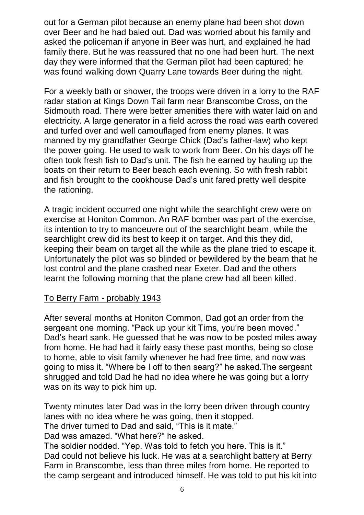out for a German pilot because an enemy plane had been shot down over Beer and he had baled out. Dad was worried about his family and asked the policeman if anyone in Beer was hurt, and explained he had family there. But he was reassured that no one had been hurt. The next day they were informed that the German pilot had been captured; he was found walking down Quarry Lane towards Beer during the night.

For a weekly bath or shower, the troops were driven in a lorry to the RAF radar station at Kings Down Tail farm near Branscombe Cross, on the Sidmouth road. There were better amenities there with water laid on and electricity. A large generator in a field across the road was earth covered and turfed over and well camouflaged from enemy planes. It was manned by my grandfather George Chick (Dad's father-law) who kept the power going. He used to walk to work from Beer. On his days off he often took fresh fish to Dad's unit. The fish he earned by hauling up the boats on their return to Beer beach each evening. So with fresh rabbit and fish brought to the cookhouse Dad's unit fared pretty well despite the rationing.

A tragic incident occurred one night while the searchlight crew were on exercise at Honiton Common. An RAF bomber was part of the exercise, its intention to try to manoeuvre out of the searchlight beam, while the searchlight crew did its best to keep it on target. And this they did, keeping their beam on target all the while as the plane tried to escape it. Unfortunately the pilot was so blinded or bewildered by the beam that he lost control and the plane crashed near Exeter. Dad and the others learnt the following morning that the plane crew had all been killed.

## To Berry Farm - probably 1943

After several months at Honiton Common, Dad got an order from the sergeant one morning. "Pack up your kit Tims, you're been moved." Dad's heart sank. He guessed that he was now to be posted miles away from home. He had had it fairly easy these past months, being so close to home, able to visit family whenever he had free time, and now was going to miss it. "Where be I off to then searg?" he asked.The sergeant shrugged and told Dad he had no idea where he was going but a lorry was on its way to pick him up.

Twenty minutes later Dad was in the lorry been driven through country lanes with no idea where he was going, then it stopped. The driver turned to Dad and said, "This is it mate."

Dad was amazed. "What here?" he asked.

The soldier nodded. "Yep. Was told to fetch you here. This is it." Dad could not believe his luck. He was at a searchlight battery at Berry Farm in Branscombe, less than three miles from home. He reported to the camp sergeant and introduced himself. He was told to put his kit into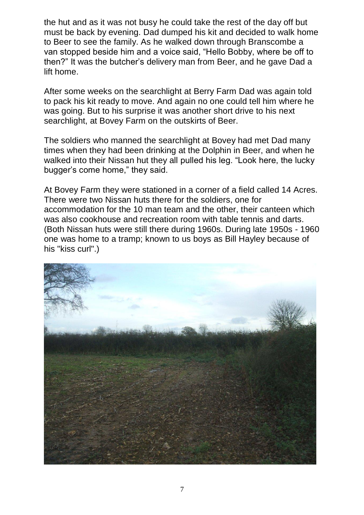the hut and as it was not busy he could take the rest of the day off but must be back by evening. Dad dumped his kit and decided to walk home to Beer to see the family. As he walked down through Branscombe a van stopped beside him and a voice said, "Hello Bobby, where be off to then?" It was the butcher's delivery man from Beer, and he gave Dad a lift home.

After some weeks on the searchlight at Berry Farm Dad was again told to pack his kit ready to move. And again no one could tell him where he was going. But to his surprise it was another short drive to his next searchlight, at Bovey Farm on the outskirts of Beer.

The soldiers who manned the searchlight at Bovey had met Dad many times when they had been drinking at the Dolphin in Beer, and when he walked into their Nissan hut they all pulled his leg. "Look here, the lucky bugger's come home," they said.

At Bovey Farm they were stationed in a corner of a field called 14 Acres. There were two Nissan huts there for the soldiers, one for accommodation for the 10 man team and the other, their canteen which was also cookhouse and recreation room with table tennis and darts. (Both Nissan huts were still there during 1960s. During late 1950s - 1960 one was home to a tramp; known to us boys as Bill Hayley because of his "kiss curl".)

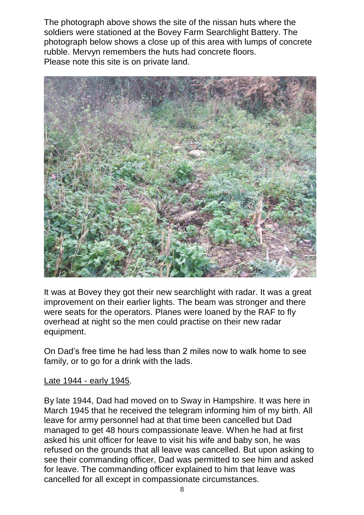The photograph above shows the site of the nissan huts where the soldiers were stationed at the Bovey Farm Searchlight Battery. The photograph below shows a close up of this area with lumps of concrete rubble. Mervyn remembers the huts had concrete floors. Please note this site is on private land.



It was at Bovey they got their new searchlight with radar. It was a great improvement on their earlier lights. The beam was stronger and there were seats for the operators. Planes were loaned by the RAF to fly overhead at night so the men could practise on their new radar equipment.

On Dad's free time he had less than 2 miles now to walk home to see family, or to go for a drink with the lads.

## Late 1944 - early 1945.

By late 1944, Dad had moved on to Sway in Hampshire. It was here in March 1945 that he received the telegram informing him of my birth. All leave for army personnel had at that time been cancelled but Dad managed to get 48 hours compassionate leave. When he had at first asked his unit officer for leave to visit his wife and baby son, he was refused on the grounds that all leave was cancelled. But upon asking to see their commanding officer, Dad was permitted to see him and asked for leave. The commanding officer explained to him that leave was cancelled for all except in compassionate circumstances.